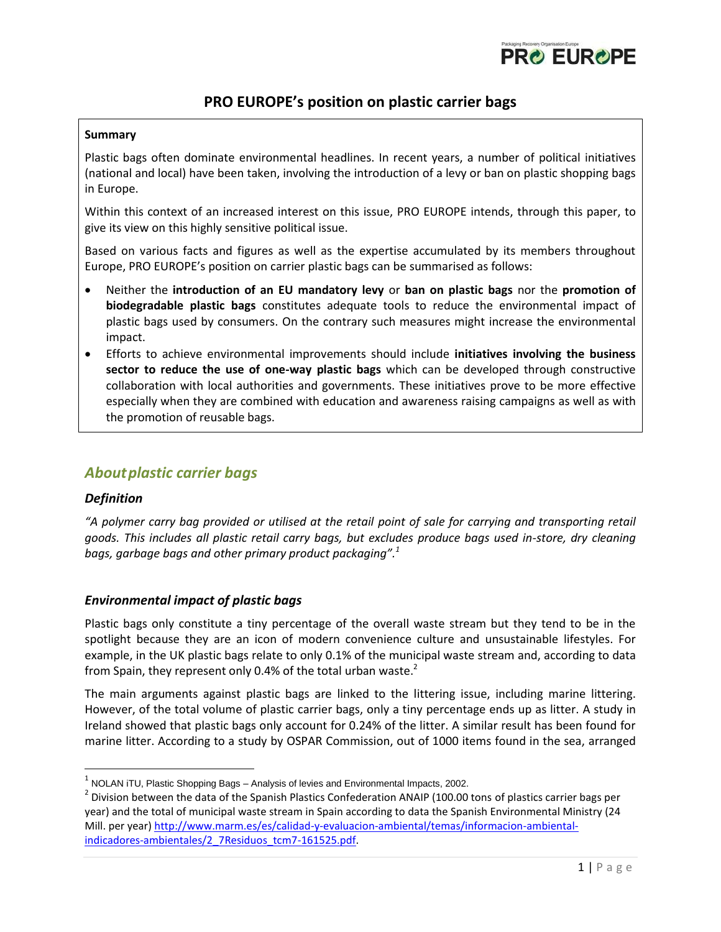

# **PRO EUROPE's position on plastic carrier bags**

#### **Summary**

Plastic bags often dominate environmental headlines. In recent years, a number of political initiatives (national and local) have been taken, involving the introduction of a levy or ban on plastic shopping bags in Europe.

Within this context of an increased interest on this issue, PRO EUROPE intends, through this paper, to give its view on this highly sensitive political issue.

Based on various facts and figures as well as the expertise accumulated by its members throughout Europe, PRO EUROPE's position on carrier plastic bags can be summarised as follows:

- Neither the **introduction of an EU mandatory levy** or **ban on plastic bags** nor the **promotion of biodegradable plastic bags** constitutes adequate tools to reduce the environmental impact of plastic bags used by consumers. On the contrary such measures might increase the environmental impact.
- Efforts to achieve environmental improvements should include **initiatives involving the business sector to reduce the use of one-way plastic bags** which can be developed through constructive collaboration with local authorities and governments. These initiatives prove to be more effective especially when they are combined with education and awareness raising campaigns as well as with the promotion of reusable bags.

## *Aboutplastic carrier bags*

### *Definition*

l

*"A polymer carry bag provided or utilised at the retail point of sale for carrying and transporting retail goods. This includes all plastic retail carry bags, but excludes produce bags used in-store, dry cleaning bags, garbage bags and other primary product packaging".<sup>1</sup>*

### *Environmental impact of plastic bags*

Plastic bags only constitute a tiny percentage of the overall waste stream but they tend to be in the spotlight because they are an icon of modern convenience culture and unsustainable lifestyles. For example, in the UK plastic bags relate to only 0.1% of the municipal waste stream and, according to data from Spain, they represent only 0.4% of the total urban waste.<sup>2</sup>

The main arguments against plastic bags are linked to the littering issue, including marine littering. However, of the total volume of plastic carrier bags, only a tiny percentage ends up as litter. A study in Ireland showed that plastic bags only account for 0.24% of the litter. A similar result has been found for marine litter. According to a study by OSPAR Commission, out of 1000 items found in the sea, arranged

 $^{\rm 1}$  NOLAN iTU, Plastic Shopping Bags – Analysis of levies and Environmental Impacts, 2002.

 $^2$  Division between the data of the Spanish Plastics Confederation ANAIP (100.00 tons of plastics carrier bags per year) and the total of municipal waste stream in Spain according to data the Spanish Environmental Ministry (24 Mill. per year) [http://www.marm.es/es/calidad-y-evaluacion-ambiental/temas/informacion-ambiental](http://www.marm.es/es/calidad-y-evaluacion-ambiental/temas/informacion-ambiental-indicadores-ambientales/2_7Residuos_tcm7-161525.pdf)[indicadores-ambientales/2\\_7Residuos\\_tcm7-161525.pdf.](http://www.marm.es/es/calidad-y-evaluacion-ambiental/temas/informacion-ambiental-indicadores-ambientales/2_7Residuos_tcm7-161525.pdf)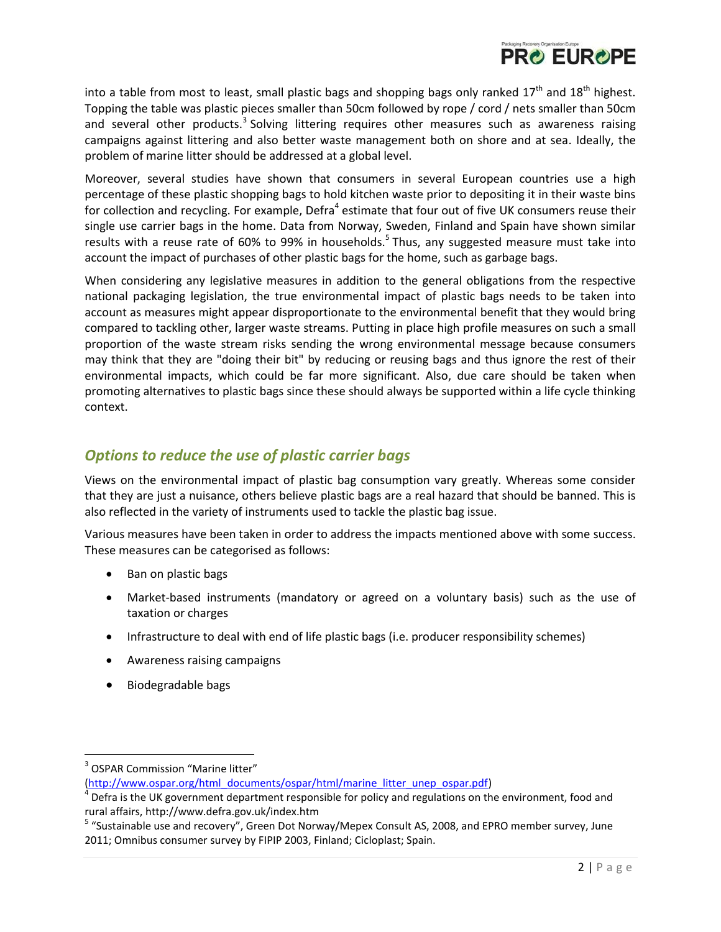

into a table from most to least, small plastic bags and shopping bags only ranked  $17<sup>th</sup>$  and  $18<sup>th</sup>$  highest. Topping the table was plastic pieces smaller than 50cm followed by rope / cord / nets smaller than 50cm and several other products.<sup>3</sup> Solving littering requires other measures such as awareness raising campaigns against littering and also better waste management both on shore and at sea. Ideally, the problem of marine litter should be addressed at a global level.

Moreover, several studies have shown that consumers in several European countries use a high percentage of these plastic shopping bags to hold kitchen waste prior to depositing it in their waste bins for collection and recycling. For example, Defra<sup>4</sup> estimate that four out of five UK consumers reuse their single use carrier bags in the home. Data from Norway, Sweden, Finland and Spain have shown similar results with a reuse rate of 60% to 99% in households.<sup>5</sup> Thus, any suggested measure must take into account the impact of purchases of other plastic bags for the home, such as garbage bags.

When considering any legislative measures in addition to the general obligations from the respective national packaging legislation, the true environmental impact of plastic bags needs to be taken into account as measures might appear disproportionate to the environmental benefit that they would bring compared to tackling other, larger waste streams. Putting in place high profile measures on such a small proportion of the waste stream risks sending the wrong environmental message because consumers may think that they are "doing their bit" by reducing or reusing bags and thus ignore the rest of their environmental impacts, which could be far more significant. Also, due care should be taken when promoting alternatives to plastic bags since these should always be supported within a life cycle thinking context.

# *Options to reduce the use of plastic carrier bags*

Views on the environmental impact of plastic bag consumption vary greatly. Whereas some consider that they are just a nuisance, others believe plastic bags are a real hazard that should be banned. This is also reflected in the variety of instruments used to tackle the plastic bag issue.

Various measures have been taken in order to address the impacts mentioned above with some success. These measures can be categorised as follows:

- Ban on plastic bags
- Market-based instruments (mandatory or agreed on a voluntary basis) such as the use of taxation or charges
- Infrastructure to deal with end of life plastic bags (i.e. producer responsibility schemes)
- Awareness raising campaigns
- Biodegradable bags

 $\overline{a}$ 

<sup>&</sup>lt;sup>3</sup> OSPAR Commission "Marine litter"

[<sup>\(</sup>http://www.ospar.org/html\\_documents/ospar/html/marine\\_litter\\_unep\\_ospar.pdf\)](http://www.ospar.org/html_documents/ospar/html/marine_litter_unep_ospar.pdf)

 $<sup>4</sup>$  Defra is the UK government department responsible for policy and regulations on the environment, food and</sup> rural affairs, http://www.defra.gov.uk/index.htm

<sup>&</sup>lt;sup>5</sup> "Sustainable use and recovery", Green Dot Norway/Mepex Consult AS, 2008, and EPRO member survey, June 2011; Omnibus consumer survey by FIPIP 2003, Finland; Cicloplast; Spain.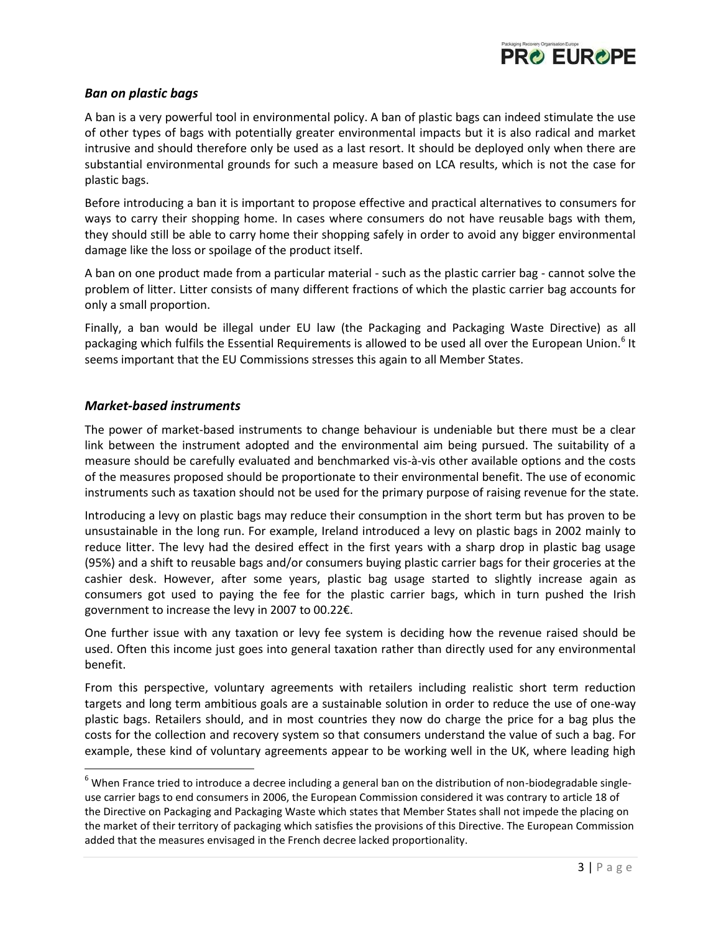

### *Ban on plastic bags*

A ban is a very powerful tool in environmental policy. A ban of plastic bags can indeed stimulate the use of other types of bags with potentially greater environmental impacts but it is also radical and market intrusive and should therefore only be used as a last resort. It should be deployed only when there are substantial environmental grounds for such a measure based on LCA results, which is not the case for plastic bags.

Before introducing a ban it is important to propose effective and practical alternatives to consumers for ways to carry their shopping home. In cases where consumers do not have reusable bags with them, they should still be able to carry home their shopping safely in order to avoid any bigger environmental damage like the loss or spoilage of the product itself.

A ban on one product made from a particular material - such as the plastic carrier bag - cannot solve the problem of litter. Litter consists of many different fractions of which the plastic carrier bag accounts for only a small proportion.

Finally, a ban would be illegal under EU law (the Packaging and Packaging Waste Directive) as all packaging which fulfils the Essential Requirements is allowed to be used all over the European Union.<sup>6</sup> It seems important that the EU Commissions stresses this again to all Member States.

### *Market-based instruments*

l

The power of market-based instruments to change behaviour is undeniable but there must be a clear link between the instrument adopted and the environmental aim being pursued. The suitability of a measure should be carefully evaluated and benchmarked vis-à-vis other available options and the costs of the measures proposed should be proportionate to their environmental benefit. The use of economic instruments such as taxation should not be used for the primary purpose of raising revenue for the state.

Introducing a levy on plastic bags may reduce their consumption in the short term but has proven to be unsustainable in the long run. For example, Ireland introduced a levy on plastic bags in 2002 mainly to reduce litter. The levy had the desired effect in the first years with a sharp drop in plastic bag usage (95%) and a shift to reusable bags and/or consumers buying plastic carrier bags for their groceries at the cashier desk. However, after some years, plastic bag usage started to slightly increase again as consumers got used to paying the fee for the plastic carrier bags, which in turn pushed the Irish government to increase the levy in 2007 to 00.22€.

One further issue with any taxation or levy fee system is deciding how the revenue raised should be used. Often this income just goes into general taxation rather than directly used for any environmental benefit.

From this perspective, voluntary agreements with retailers including realistic short term reduction targets and long term ambitious goals are a sustainable solution in order to reduce the use of one-way plastic bags. Retailers should, and in most countries they now do charge the price for a bag plus the costs for the collection and recovery system so that consumers understand the value of such a bag. For example, these kind of voluntary agreements appear to be working well in the UK, where leading high

 $6$  When France tried to introduce a decree including a general ban on the distribution of non-biodegradable singleuse carrier bags to end consumers in 2006, the European Commission considered it was contrary to article 18 of the Directive on Packaging and Packaging Waste which states that Member States shall not impede the placing on the market of their territory of packaging which satisfies the provisions of this Directive. The European Commission added that the measures envisaged in the French decree lacked proportionality.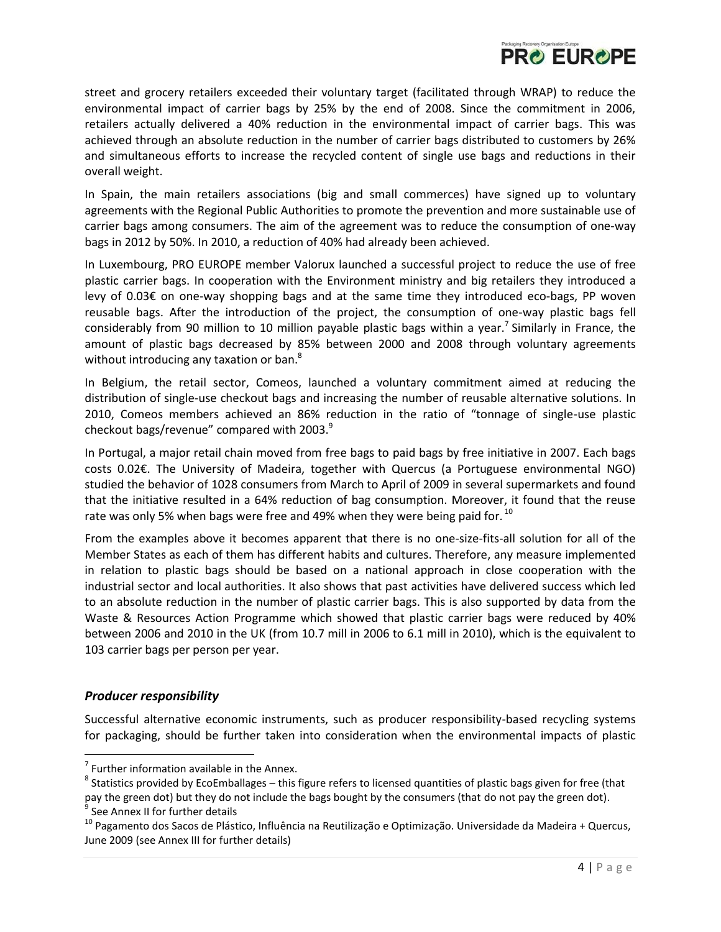

street and grocery retailers exceeded their voluntary target (facilitated through WRAP) to reduce the environmental impact of carrier bags by 25% by the end of 2008. Since the commitment in 2006, retailers actually delivered a 40% reduction in the environmental impact of carrier bags. This was achieved through an absolute reduction in the number of carrier bags distributed to customers by 26% and simultaneous efforts to increase the recycled content of single use bags and reductions in their overall weight.

In Spain, the main retailers associations (big and small commerces) have signed up to voluntary agreements with the Regional Public Authorities to promote the prevention and more sustainable use of carrier bags among consumers. The aim of the agreement was to reduce the consumption of one-way bags in 2012 by 50%. In 2010, a reduction of 40% had already been achieved.

In Luxembourg, PRO EUROPE member Valorux launched a successful project to reduce the use of free plastic carrier bags. In cooperation with the Environment ministry and big retailers they introduced a levy of 0.03€ on one-way shopping bags and at the same time they introduced eco-bags, PP woven reusable bags. After the introduction of the project, the consumption of one-way plastic bags fell considerably from 90 million to 10 million payable plastic bags within a year.<sup>7</sup> Similarly in France, the amount of plastic bags decreased by 85% between 2000 and 2008 through voluntary agreements without introducing any taxation or ban.<sup>8</sup>

In Belgium, the retail sector, Comeos, launched a voluntary commitment aimed at reducing the distribution of single-use checkout bags and increasing the number of reusable alternative solutions. In 2010, Comeos members achieved an 86% reduction in the ratio of "tonnage of single-use plastic checkout bags/revenue" compared with 2003.<sup>9</sup>

In Portugal, a major retail chain moved from free bags to paid bags by free initiative in 2007. Each bags costs 0.02€. The University of Madeira, together with Quercus (a Portuguese environmental NGO) studied the behavior of 1028 consumers from March to April of 2009 in several supermarkets and found that the initiative resulted in a 64% reduction of bag consumption. Moreover, it found that the reuse rate was only 5% when bags were free and 49% when they were being paid for.  $^{10}$ 

From the examples above it becomes apparent that there is no one-size-fits-all solution for all of the Member States as each of them has different habits and cultures. Therefore, any measure implemented in relation to plastic bags should be based on a national approach in close cooperation with the industrial sector and local authorities. It also shows that past activities have delivered success which led to an absolute reduction in the number of plastic carrier bags. This is also supported by data from the Waste & Resources Action Programme which showed that plastic carrier bags were reduced by 40% between 2006 and 2010 in the UK (from 10.7 mill in 2006 to 6.1 mill in 2010), which is the equivalent to 103 carrier bags per person per year.

### *Producer responsibility*

 $\overline{a}$ 

Successful alternative economic instruments, such as producer responsibility-based recycling systems for packaging, should be further taken into consideration when the environmental impacts of plastic

 $<sup>7</sup>$  Further information available in the Annex.</sup>

 $^8$  Statistics provided by EcoEmballages – this figure refers to licensed quantities of plastic bags given for free (that pay the green dot) but they do not include the bags bought by the consumers (that do not pay the green dot). 9 See Annex II for further details

<sup>&</sup>lt;sup>10</sup> Pagamento dos Sacos de Plástico, Influência na Reutilização e Optimização. Universidade da Madeira + Quercus, June 2009 (see Annex III for further details)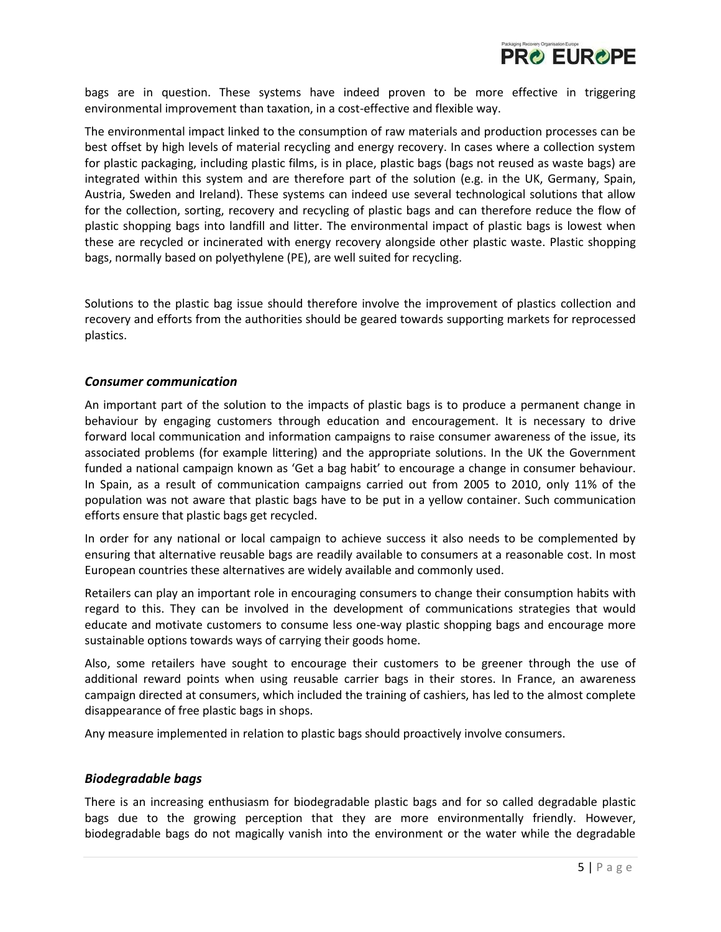

bags are in question. These systems have indeed proven to be more effective in triggering environmental improvement than taxation, in a cost-effective and flexible way.

The environmental impact linked to the consumption of raw materials and production processes can be best offset by high levels of material recycling and energy recovery. In cases where a collection system for plastic packaging, including plastic films, is in place, plastic bags (bags not reused as waste bags) are integrated within this system and are therefore part of the solution (e.g. in the UK, Germany, Spain, Austria, Sweden and Ireland). These systems can indeed use several technological solutions that allow for the collection, sorting, recovery and recycling of plastic bags and can therefore reduce the flow of plastic shopping bags into landfill and litter. The environmental impact of plastic bags is lowest when these are recycled or incinerated with energy recovery alongside other plastic waste. Plastic shopping bags, normally based on polyethylene (PE), are well suited for recycling.

Solutions to the plastic bag issue should therefore involve the improvement of plastics collection and recovery and efforts from the authorities should be geared towards supporting markets for reprocessed plastics.

#### *Consumer communication*

An important part of the solution to the impacts of plastic bags is to produce a permanent change in behaviour by engaging customers through education and encouragement. It is necessary to drive forward local communication and information campaigns to raise consumer awareness of the issue, its associated problems (for example littering) and the appropriate solutions. In the UK the Government funded a national campaign known as 'Get a bag habit' to encourage a change in consumer behaviour. In Spain, as a result of communication campaigns carried out from 2005 to 2010, only 11% of the population was not aware that plastic bags have to be put in a yellow container. Such communication efforts ensure that plastic bags get recycled.

In order for any national or local campaign to achieve success it also needs to be complemented by ensuring that alternative reusable bags are readily available to consumers at a reasonable cost. In most European countries these alternatives are widely available and commonly used.

Retailers can play an important role in encouraging consumers to change their consumption habits with regard to this. They can be involved in the development of communications strategies that would educate and motivate customers to consume less one-way plastic shopping bags and encourage more sustainable options towards ways of carrying their goods home.

Also, some retailers have sought to encourage their customers to be greener through the use of additional reward points when using reusable carrier bags in their stores. In France, an awareness campaign directed at consumers, which included the training of cashiers, has led to the almost complete disappearance of free plastic bags in shops.

Any measure implemented in relation to plastic bags should proactively involve consumers.

### *Biodegradable bags*

There is an increasing enthusiasm for biodegradable plastic bags and for so called degradable plastic bags due to the growing perception that they are more environmentally friendly. However, biodegradable bags do not magically vanish into the environment or the water while the degradable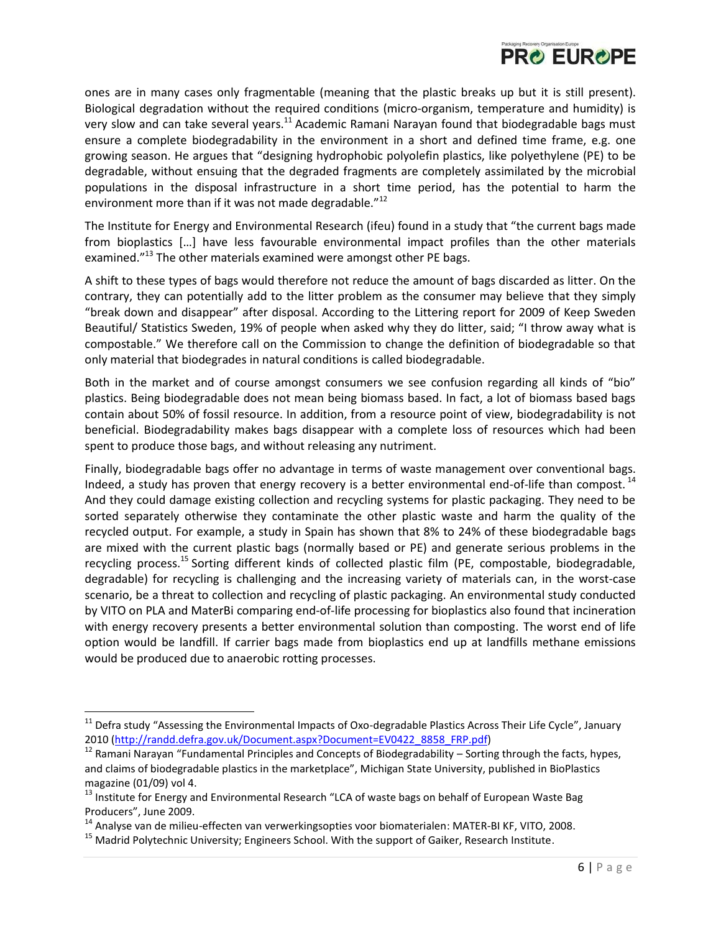

ones are in many cases only fragmentable (meaning that the plastic breaks up but it is still present). Biological degradation without the required conditions (micro-organism, temperature and humidity) is very slow and can take several years.<sup>11</sup> Academic Ramani Narayan found that biodegradable bags must ensure a complete biodegradability in the environment in a short and defined time frame, e.g. one growing season. He argues that "designing hydrophobic polyolefin plastics, like polyethylene (PE) to be degradable, without ensuing that the degraded fragments are completely assimilated by the microbial populations in the disposal infrastructure in a short time period, has the potential to harm the environment more than if it was not made degradable."<sup>12</sup>

The Institute for Energy and Environmental Research (ifeu) found in a study that "the current bags made from bioplastics [...] have less favourable environmental impact profiles than the other materials examined."<sup>13</sup> The other materials examined were amongst other PE bags.

A shift to these types of bags would therefore not reduce the amount of bags discarded as litter. On the contrary, they can potentially add to the litter problem as the consumer may believe that they simply "break down and disappear" after disposal. According to the Littering report for 2009 of Keep Sweden Beautiful/ Statistics Sweden, 19% of people when asked why they do litter, said; "I throw away what is compostable." We therefore call on the Commission to change the definition of biodegradable so that only material that biodegrades in natural conditions is called biodegradable.

Both in the market and of course amongst consumers we see confusion regarding all kinds of "bio" plastics. Being biodegradable does not mean being biomass based. In fact, a lot of biomass based bags contain about 50% of fossil resource. In addition, from a resource point of view, biodegradability is not beneficial. Biodegradability makes bags disappear with a complete loss of resources which had been spent to produce those bags, and without releasing any nutriment.

Finally, biodegradable bags offer no advantage in terms of waste management over conventional bags. Indeed, a study has proven that energy recovery is a better environmental end-of-life than compost.<sup>14</sup> And they could damage existing collection and recycling systems for plastic packaging. They need to be sorted separately otherwise they contaminate the other plastic waste and harm the quality of the recycled output. For example, a study in Spain has shown that 8% to 24% of these biodegradable bags are mixed with the current plastic bags (normally based or PE) and generate serious problems in the recycling process.<sup>15</sup> Sorting different kinds of collected plastic film (PE, compostable, biodegradable, degradable) for recycling is challenging and the increasing variety of materials can, in the worst-case scenario, be a threat to collection and recycling of plastic packaging. An environmental study conducted by VITO on PLA and MaterBi comparing end-of-life processing for bioplastics also found that incineration with energy recovery presents a better environmental solution than composting. The worst end of life option would be landfill. If carrier bags made from bioplastics end up at landfills methane emissions would be produced due to anaerobic rotting processes.

 $\overline{\phantom{a}}$ 

 $11$  Defra study "Assessing the Environmental Impacts of Oxo-degradable Plastics Across Their Life Cycle", January 2010 [\(http://randd.defra.gov.uk/Document.aspx?Document=EV0422\\_8858\\_FRP.pdf\)](http://randd.defra.gov.uk/Document.aspx?Document=EV0422_8858_FRP.pdf)

<sup>&</sup>lt;sup>12</sup> Ramani Narayan "Fundamental Principles and Concepts of Biodegradability – Sorting through the facts, hypes, and claims of biodegradable plastics in the marketplace", Michigan State University, published in BioPlastics magazine (01/09) vol 4.

<sup>&</sup>lt;sup>13</sup> Institute for Energy and Environmental Research "LCA of waste bags on behalf of European Waste Bag Producers", June 2009.

 $14$  Analyse van de milieu-effecten van verwerkingsopties voor biomaterialen: MATER-BI KF, VITO, 2008.

<sup>&</sup>lt;sup>15</sup> Madrid Polytechnic University; Engineers School. With the support of Gaiker, Research Institute.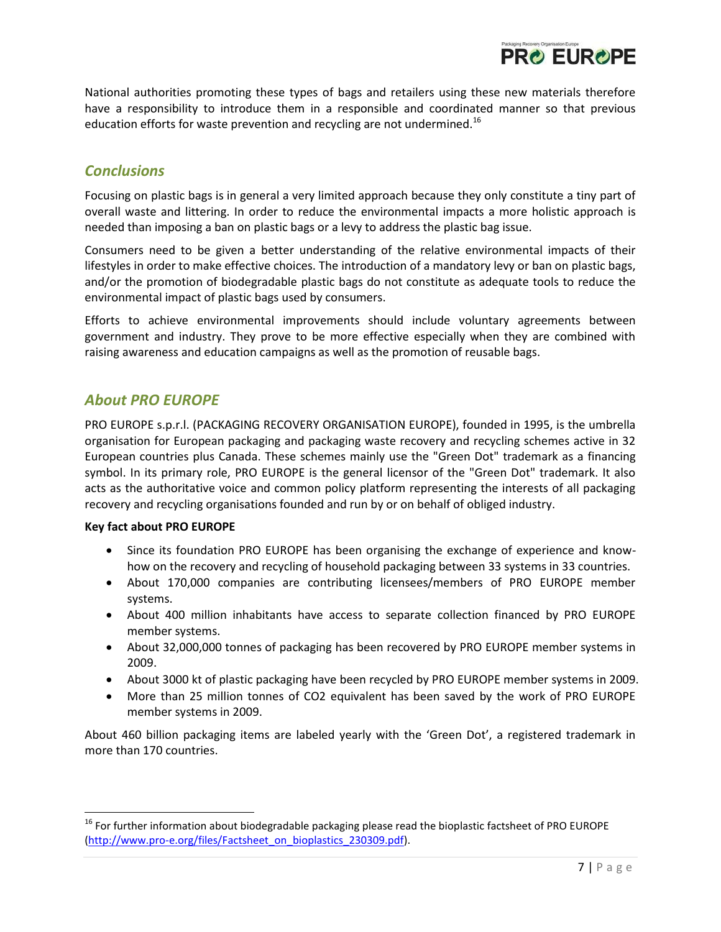

National authorities promoting these types of bags and retailers using these new materials therefore have a responsibility to introduce them in a responsible and coordinated manner so that previous education efforts for waste prevention and recycling are not undermined.<sup>16</sup>

## *Conclusions*

Focusing on plastic bags is in general a very limited approach because they only constitute a tiny part of overall waste and littering. In order to reduce the environmental impacts a more holistic approach is needed than imposing a ban on plastic bags or a levy to address the plastic bag issue.

Consumers need to be given a better understanding of the relative environmental impacts of their lifestyles in order to make effective choices. The introduction of a mandatory levy or ban on plastic bags, and/or the promotion of biodegradable plastic bags do not constitute as adequate tools to reduce the environmental impact of plastic bags used by consumers.

Efforts to achieve environmental improvements should include voluntary agreements between government and industry. They prove to be more effective especially when they are combined with raising awareness and education campaigns as well as the promotion of reusable bags.

## *About PRO EUROPE*

PRO EUROPE s.p.r.l. (PACKAGING RECOVERY ORGANISATION EUROPE), founded in 1995, is the umbrella organisation for European packaging and packaging waste recovery and recycling schemes active in 32 European countries plus Canada. These schemes mainly use the "Green Dot" trademark as a financing symbol. In its primary role, PRO EUROPE is the general licensor of the "Green Dot" trademark. It also acts as the authoritative voice and common policy platform representing the interests of all packaging recovery and recycling organisations founded and run by or on behalf of obliged industry.

### **Key fact about PRO EUROPE**

l

- Since its foundation PRO EUROPE has been organising the exchange of experience and knowhow on the recovery and recycling of household packaging between 33 systems in 33 countries.
- About 170,000 companies are contributing licensees/members of PRO EUROPE member systems.
- About 400 million inhabitants have access to separate collection financed by PRO EUROPE member systems.
- About 32,000,000 tonnes of packaging has been recovered by PRO EUROPE member systems in 2009.
- About 3000 kt of plastic packaging have been recycled by PRO EUROPE member systems in 2009.
- More than 25 million tonnes of CO2 equivalent has been saved by the work of PRO EUROPE member systems in 2009.

About 460 billion packaging items are labeled yearly with the 'Green Dot', a registered trademark in more than 170 countries.

<sup>&</sup>lt;sup>16</sup> For further information about biodegradable packaging please read the bioplastic factsheet of PRO EUROPE [\(http://www.pro-e.org/files/Factsheet\\_on\\_bioplastics\\_230309.pdf\)](http://www.pro-e.org/files/Factsheet_on_bioplastics_230309.pdf).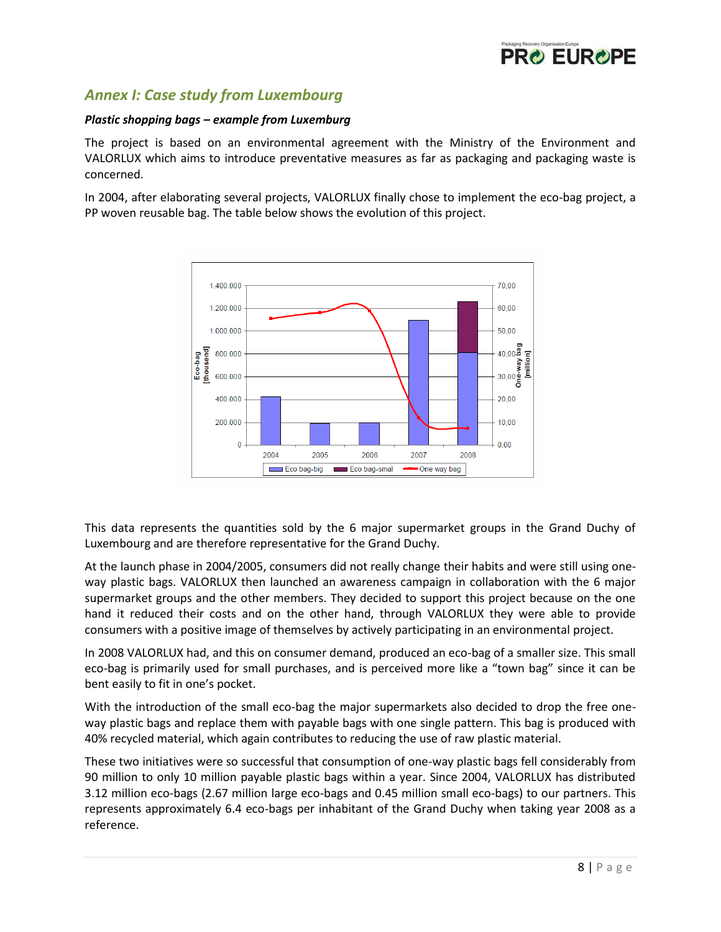

# *Annex I: Case study from Luxembourg*

### *Plastic shopping bags – example from Luxemburg*

The project is based on an environmental agreement with the Ministry of the Environment and VALORLUX which aims to introduce preventative measures as far as packaging and packaging waste is concerned.

In 2004, after elaborating several projects, VALORLUX finally chose to implement the eco-bag project, a PP woven reusable bag. The table below shows the evolution of this project.



This data represents the quantities sold by the 6 major supermarket groups in the Grand Duchy of Luxembourg and are therefore representative for the Grand Duchy.

At the launch phase in 2004/2005, consumers did not really change their habits and were still using oneway plastic bags. VALORLUX then launched an awareness campaign in collaboration with the 6 major supermarket groups and the other members. They decided to support this project because on the one hand it reduced their costs and on the other hand, through VALORLUX they were able to provide consumers with a positive image of themselves by actively participating in an environmental project.

In 2008 VALORLUX had, and this on consumer demand, produced an eco-bag of a smaller size. This small eco-bag is primarily used for small purchases, and is perceived more like a "town bag" since it can be bent easily to fit in one's pocket.

With the introduction of the small eco-bag the major supermarkets also decided to drop the free oneway plastic bags and replace them with payable bags with one single pattern. This bag is produced with 40% recycled material, which again contributes to reducing the use of raw plastic material.

These two initiatives were so successful that consumption of one-way plastic bags fell considerably from 90 million to only 10 million payable plastic bags within a year. Since 2004, VALORLUX has distributed 3.12 million eco-bags (2.67 million large eco-bags and 0.45 million small eco-bags) to our partners. This represents approximately 6.4 eco-bags per inhabitant of the Grand Duchy when taking year 2008 as a reference.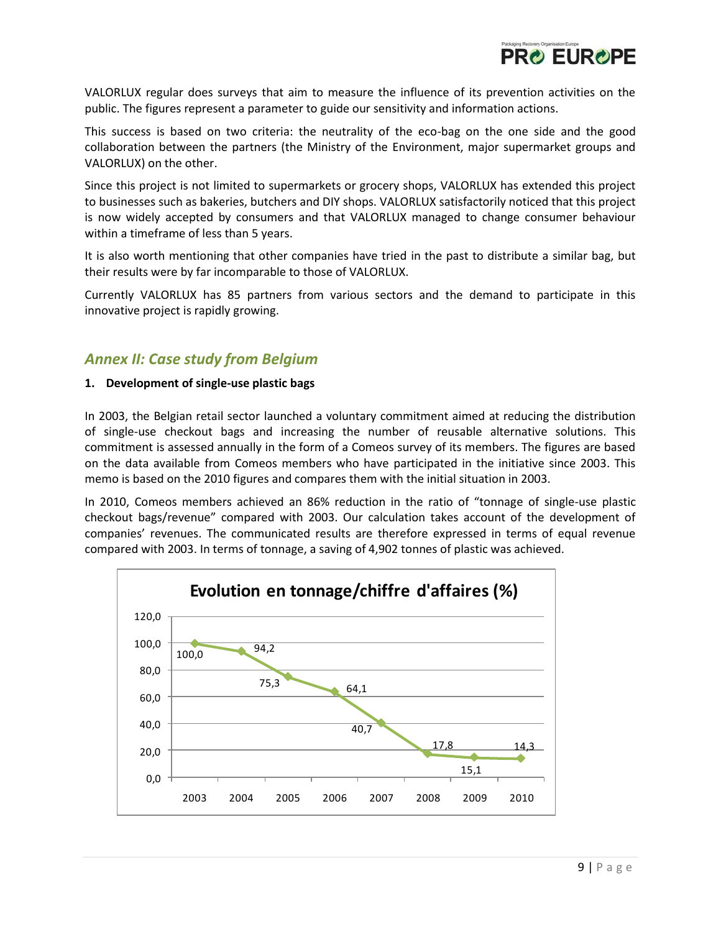

VALORLUX regular does surveys that aim to measure the influence of its prevention activities on the public. The figures represent a parameter to guide our sensitivity and information actions.

This success is based on two criteria: the neutrality of the eco-bag on the one side and the good collaboration between the partners (the Ministry of the Environment, major supermarket groups and VALORLUX) on the other.

Since this project is not limited to supermarkets or grocery shops, VALORLUX has extended this project to businesses such as bakeries, butchers and DIY shops. VALORLUX satisfactorily noticed that this project is now widely accepted by consumers and that VALORLUX managed to change consumer behaviour within a timeframe of less than 5 years.

It is also worth mentioning that other companies have tried in the past to distribute a similar bag, but their results were by far incomparable to those of VALORLUX.

Currently VALORLUX has 85 partners from various sectors and the demand to participate in this innovative project is rapidly growing.

## *Annex II: Case study from Belgium*

#### **1. Development of single-use plastic bags**

In 2003, the Belgian retail sector launched a voluntary commitment aimed at reducing the distribution of single-use checkout bags and increasing the number of reusable alternative solutions. This commitment is assessed annually in the form of a Comeos survey of its members. The figures are based on the data available from Comeos members who have participated in the initiative since 2003. This memo is based on the 2010 figures and compares them with the initial situation in 2003.

In 2010, Comeos members achieved an 86% reduction in the ratio of "tonnage of single-use plastic checkout bags/revenue" compared with 2003. Our calculation takes account of the development of companies' revenues. The communicated results are therefore expressed in terms of equal revenue compared with 2003. In terms of tonnage, a saving of 4,902 tonnes of plastic was achieved.

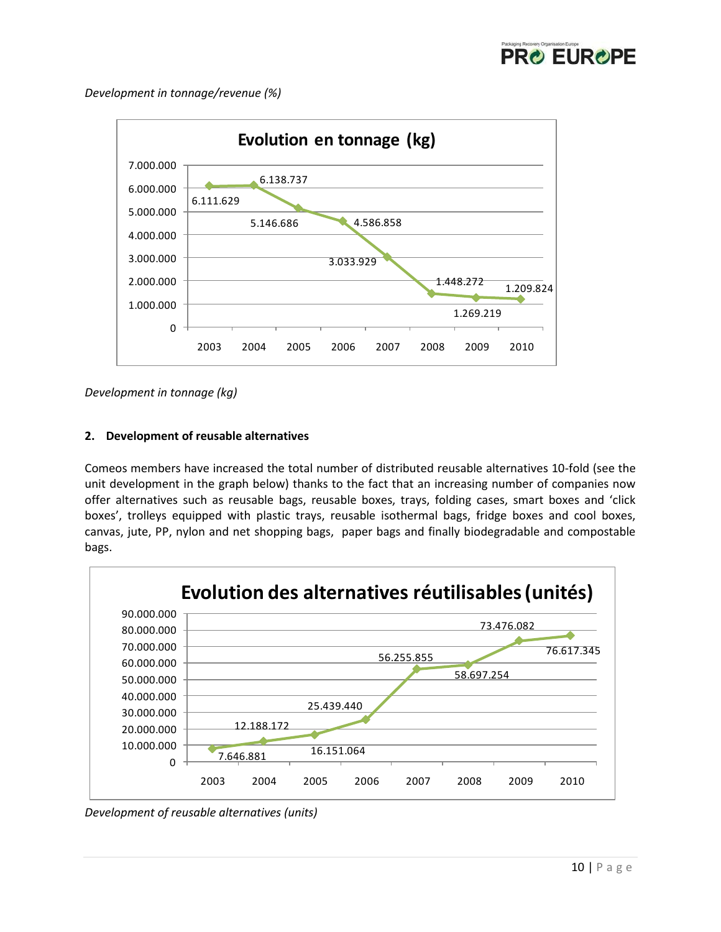

*Development in tonnage/revenue (%)*



*Development in tonnage (kg)*

### **2. Development of reusable alternatives**

Comeos members have increased the total number of distributed reusable alternatives 10-fold (see the unit development in the graph below) thanks to the fact that an increasing number of companies now offer alternatives such as reusable bags, reusable boxes, trays, folding cases, smart boxes and 'click boxes', trolleys equipped with plastic trays, reusable isothermal bags, fridge boxes and cool boxes, canvas, jute, PP, nylon and net shopping bags, paper bags and finally biodegradable and compostable bags.



*Development of reusable alternatives (units)*